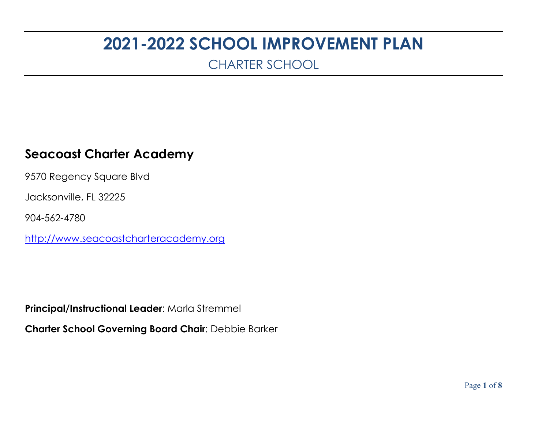# **2021-2022 SCHOOL IMPROVEMENT PLAN**

CHARTER SCHOOL

### **Seacoast Charter Academy**

9570 Regency Square Blvd

Jacksonville, FL 32225

904-562-4780

[http://www.seacoastcharteracademy.org](http://www.seacoastcharteracademy.org/)

**Principal/Instructional Leader**: Marla Stremmel

**Charter School Governing Board Chair**: Debbie Barker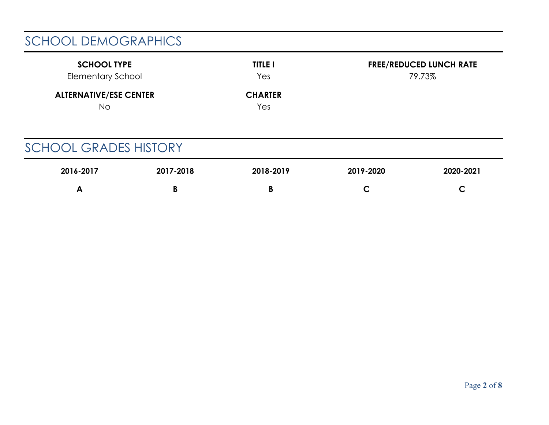# SCHOOL DEMOGRAPHICS

| <b>SCHOOL TYPE</b>                   | <b>TITLE I</b>        | <b>FREE/REDUCED LUNCH RATE</b> |
|--------------------------------------|-----------------------|--------------------------------|
| <b>Elementary School</b>             | Yes                   | 79.73%                         |
| <b>ALTERNATIVE/ESE CENTER</b><br>No. | <b>CHARTER</b><br>Yes |                                |

# SCHOOL GRADES HISTORY

| 2016-2017 | 2017-2018 | 2018-2019 | 2019-2020 | 2020-2021 |
|-----------|-----------|-----------|-----------|-----------|
| "<br>. .  |           | п         | ∽         |           |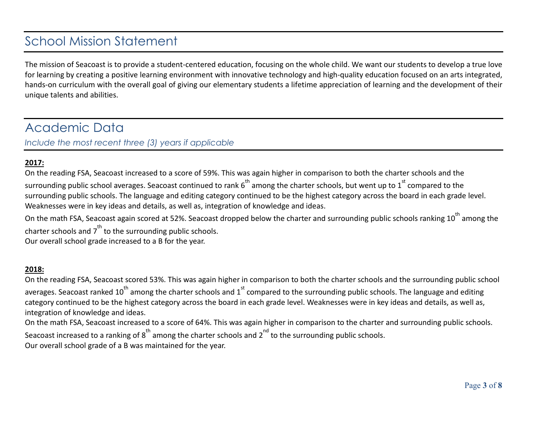### School Mission Statement

The mission of Seacoast is to provide a student-centered education, focusing on the whole child. We want our students to develop a true love for learning by creating a positive learning environment with innovative technology and high-quality education focused on an arts integrated, hands-on curriculum with the overall goal of giving our elementary students a lifetime appreciation of learning and the development of their unique talents and abilities.

### Academic Data

*Include the most recent three (3) years if applicable*

#### **2017:**

On the reading FSA, Seacoast increased to a score of 59%. This was again higher in comparison to both the charter schools and the surrounding public school averages. Seacoast continued to rank  $6^{th}$  among the charter schools, but went up to  $1^{st}$  compared to the surrounding public schools. The language and editing category continued to be the highest category across the board in each grade level. Weaknesses were in key ideas and details, as well as, integration of knowledge and ideas.

On the math FSA, Seacoast again scored at 52%. Seacoast dropped below the charter and surrounding public schools ranking  $10^{th}$  among the charter schools and  $7<sup>th</sup>$  to the surrounding public schools.

Our overall school grade increased to a B for the year.

#### **2018:**

On the reading FSA, Seacoast scored 53%. This was again higher in comparison to both the charter schools and the surrounding public school averages. Seacoast ranked 10<sup>th</sup> among the charter schools and 1<sup>st</sup> compared to the surrounding public schools. The language and editing category continued to be the highest category across the board in each grade level. Weaknesses were in key ideas and details, as well as, integration of knowledge and ideas.

On the math FSA, Seacoast increased to a score of 64%. This was again higher in comparison to the charter and surrounding public schools. Seacoast increased to a ranking of  $8<sup>th</sup>$  among the charter schools and  $2<sup>nd</sup>$  to the surrounding public schools. Our overall school grade of a B was maintained for the year.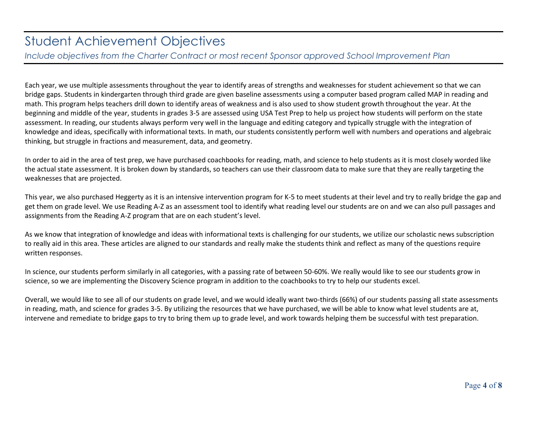### Student Achievement Objectives

*Include objectives from the Charter Contract or most recent Sponsor approved School Improvement Plan*

Each year, we use multiple assessments throughout the year to identify areas of strengths and weaknesses for student achievement so that we can bridge gaps. Students in kindergarten through third grade are given baseline assessments using a computer based program called MAP in reading and math. This program helps teachers drill down to identify areas of weakness and is also used to show student growth throughout the year. At the beginning and middle of the year, students in grades 3-5 are assessed using USA Test Prep to help us project how students will perform on the state assessment. In reading, our students always perform very well in the language and editing category and typically struggle with the integration of knowledge and ideas, specifically with informational texts. In math, our students consistently perform well with numbers and operations and algebraic thinking, but struggle in fractions and measurement, data, and geometry.

In order to aid in the area of test prep, we have purchased coachbooks for reading, math, and science to help students as it is most closely worded like the actual state assessment. It is broken down by standards, so teachers can use their classroom data to make sure that they are really targeting the weaknesses that are projected.

This year, we also purchased Heggerty as it is an intensive intervention program for K-5 to meet students at their level and try to really bridge the gap and get them on grade level. We use Reading A-Z as an assessment tool to identify what reading level our students are on and we can also pull passages and assignments from the Reading A-Z program that are on each student's level.

As we know that integration of knowledge and ideas with informational texts is challenging for our students, we utilize our scholastic news subscription to really aid in this area. These articles are aligned to our standards and really make the students think and reflect as many of the questions require written responses.

In science, our students perform similarly in all categories, with a passing rate of between 50-60%. We really would like to see our students grow in science, so we are implementing the Discovery Science program in addition to the coachbooks to try to help our students excel.

Overall, we would like to see all of our students on grade level, and we would ideally want two-thirds (66%) of our students passing all state assessments in reading, math, and science for grades 3-5. By utilizing the resources that we have purchased, we will be able to know what level students are at, intervene and remediate to bridge gaps to try to bring them up to grade level, and work towards helping them be successful with test preparation.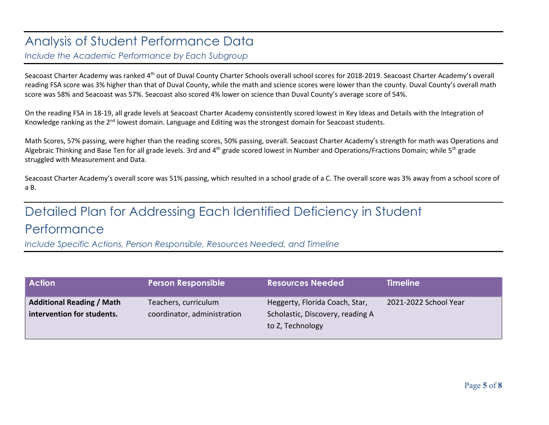### Analysis of Student Performance Data

*Include the Academic Performance by Each Subgroup*

Seacoast Charter Academy was ranked 4<sup>th</sup> out of Duval County Charter Schools overall school scores for 2018-2019. Seacoast Charter Academy's overall reading FSA score was 3% higher than that of Duval County, while the math and science scores were lower than the county. Duval County's overall math score was 58% and Seacoast was 57%. Seacoast also scored 4% lower on science than Duval County's average score of 54%.

On the reading FSA in 18-19, all grade levels at Seacoast Charter Academy consistently scored lowest in Key Ideas and Details with the Integration of Knowledge ranking as the 2<sup>nd</sup> lowest domain. Language and Editing was the strongest domain for Seacoast students.

Math Scores, 57% passing, were higher than the reading scores, 50% passing, overall. Seacoast Charter Academy's strength for math was Operations and Algebraic Thinking and Base Ten for all grade levels. 3rd and 4<sup>th</sup> grade scored lowest in Number and Operations/Fractions Domain; while 5<sup>th</sup> grade struggled with Measurement and Data.

Seacoast Charter Academy's overall score was 51% passing, which resulted in a school grade of a C. The overall score was 3% away from a school score of a B.

# Detailed Plan for Addressing Each Identified Deficiency in Student Performance

*Include Specific Actions, Person Responsible, Resources Needed, and Timeline*

| <b>Action</b>                                                  | <b>Person Responsible</b>                           | <b>Resources Needed</b>                                                                | <b>Timeline</b>       |
|----------------------------------------------------------------|-----------------------------------------------------|----------------------------------------------------------------------------------------|-----------------------|
| <b>Additional Reading / Math</b><br>intervention for students. | Teachers, curriculum<br>coordinator, administration | Heggerty, Florida Coach, Star,<br>Scholastic, Discovery, reading A<br>to Z, Technology | 2021-2022 School Year |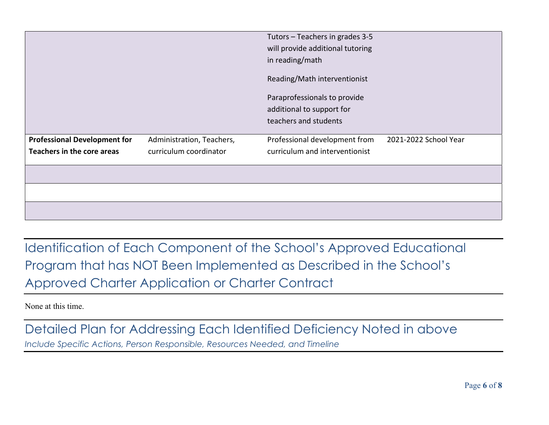| Teachers in the core areas          | curriculum coordinator    | curriculum and interventionist   |                       |
|-------------------------------------|---------------------------|----------------------------------|-----------------------|
| <b>Professional Development for</b> | Administration, Teachers, | Professional development from    | 2021-2022 School Year |
|                                     |                           | teachers and students            |                       |
|                                     |                           | additional to support for        |                       |
|                                     |                           | Paraprofessionals to provide     |                       |
|                                     |                           | Reading/Math interventionist     |                       |
|                                     |                           | in reading/math                  |                       |
|                                     |                           | will provide additional tutoring |                       |
|                                     |                           | Tutors - Teachers in grades 3-5  |                       |

Identification of Each Component of the School's Approved Educational Program that has NOT Been Implemented as Described in the School's Approved Charter Application or Charter Contract

None at this time.

Detailed Plan for Addressing Each Identified Deficiency Noted in above *Include Specific Actions, Person Responsible, Resources Needed, and Timeline*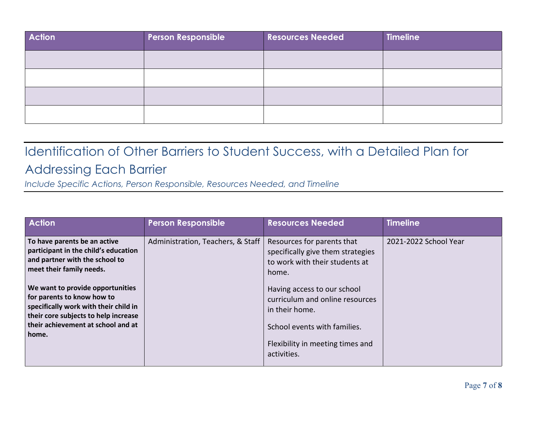| <b>Action</b> | <b>Person Responsible</b> | <b>Resources Needed</b> | <b>Timeline</b> |
|---------------|---------------------------|-------------------------|-----------------|
|               |                           |                         |                 |
|               |                           |                         |                 |
|               |                           |                         |                 |
|               |                           |                         |                 |

# Identification of Other Barriers to Student Success, with a Detailed Plan for Addressing Each Barrier

*Include Specific Actions, Person Responsible, Resources Needed, and Timeline*

| <b>Action</b>                                                                                                                                                                                                                                                                                                                        | <b>Person Responsible</b>         | <b>Resources Needed</b>                                                                                                                                                                                                                                                           | <b>Timeline</b>       |
|--------------------------------------------------------------------------------------------------------------------------------------------------------------------------------------------------------------------------------------------------------------------------------------------------------------------------------------|-----------------------------------|-----------------------------------------------------------------------------------------------------------------------------------------------------------------------------------------------------------------------------------------------------------------------------------|-----------------------|
| To have parents be an active<br>participant in the child's education<br>and partner with the school to<br>meet their family needs.<br>We want to provide opportunities<br>for parents to know how to<br>specifically work with their child in<br>their core subjects to help increase<br>their achievement at school and at<br>home. | Administration, Teachers, & Staff | Resources for parents that<br>specifically give them strategies<br>to work with their students at<br>home.<br>Having access to our school<br>curriculum and online resources<br>in their home.<br>School events with families.<br>Flexibility in meeting times and<br>activities. | 2021-2022 School Year |